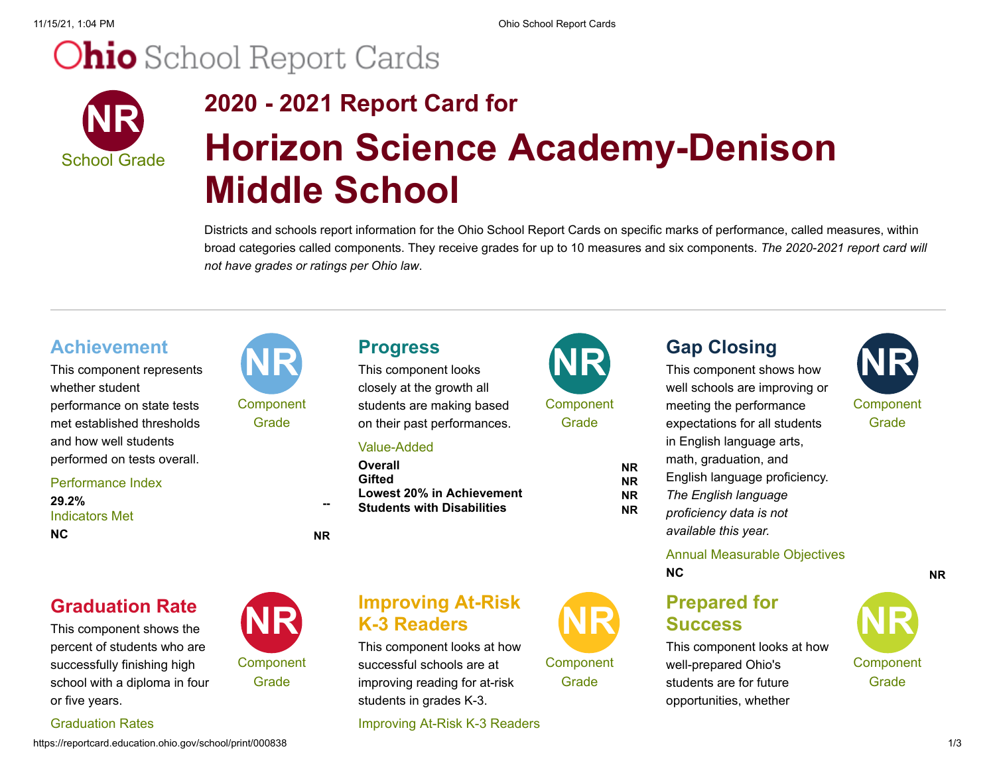11/15/21, 1:04 PM Ohio School Report Cards

# **Ohio** School Report Cards



## **2020 - 2021 Report Card for Horizon Science Academy-Denison Middle School**

Districts and schools report information for the Ohio School Report Cards on specific marks of performance, called measures, within broad categories called components. They receive grades for up to 10 measures and six components. *The 2020-2021 report card will not have grades or ratings per Ohio law*.

This component represents **Achievement NR** whether student performance on state tests met established thresholds and how well students performed on tests overall.

#### Performance Index

Indicators Met **29.2% -- NC NR**

# **Component** Grade

**Component** Grade

closely at the growth all students are making based on their past performances.

#### Value-Added

**Overall NR Gifted NR Lowest 20% in Achievement NR Students with Disabilities NR**

## **Improving At-Risk K-3 Readers**

This component looks at how successful schools are at improving reading for at-risk students in grades K-3.

Improving At-Risk K-3 Readers



**Component** Grade

well schools are improving or meeting the performance expectations for all students in English language arts, math, graduation, and English language proficiency. *The English language*

*proficiency data is not available this year.*

#### Annual Measurable Objectives **NC NR**

## **Prepared for Success**

This component looks at how well-prepared Ohio's students are for future opportunities, whether





### Graduation Rates

or five years.

This component shows the percent of students who are successfully finishing high school with a diploma in four

**Graduation Rate** 

https://reportcard.education.ohio.gov/school/print/000838 1/3

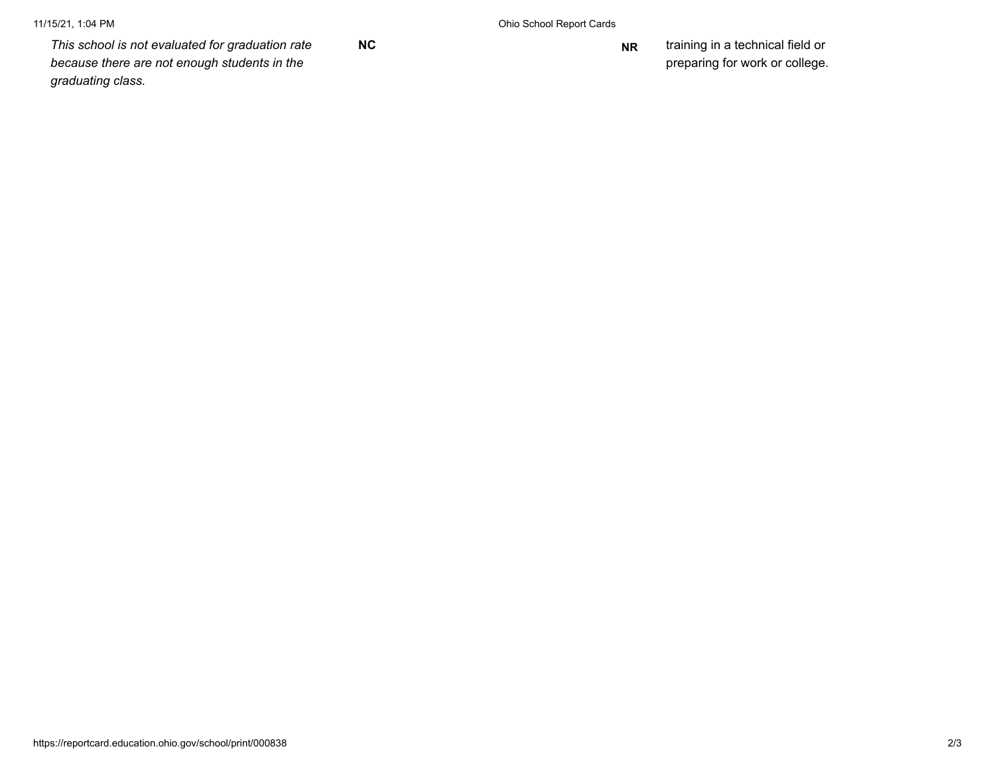*This school is not evaluated for graduation rate because there are not enough students in the graduating class.*

**NC NR** training in a technical field or preparing for work or college.